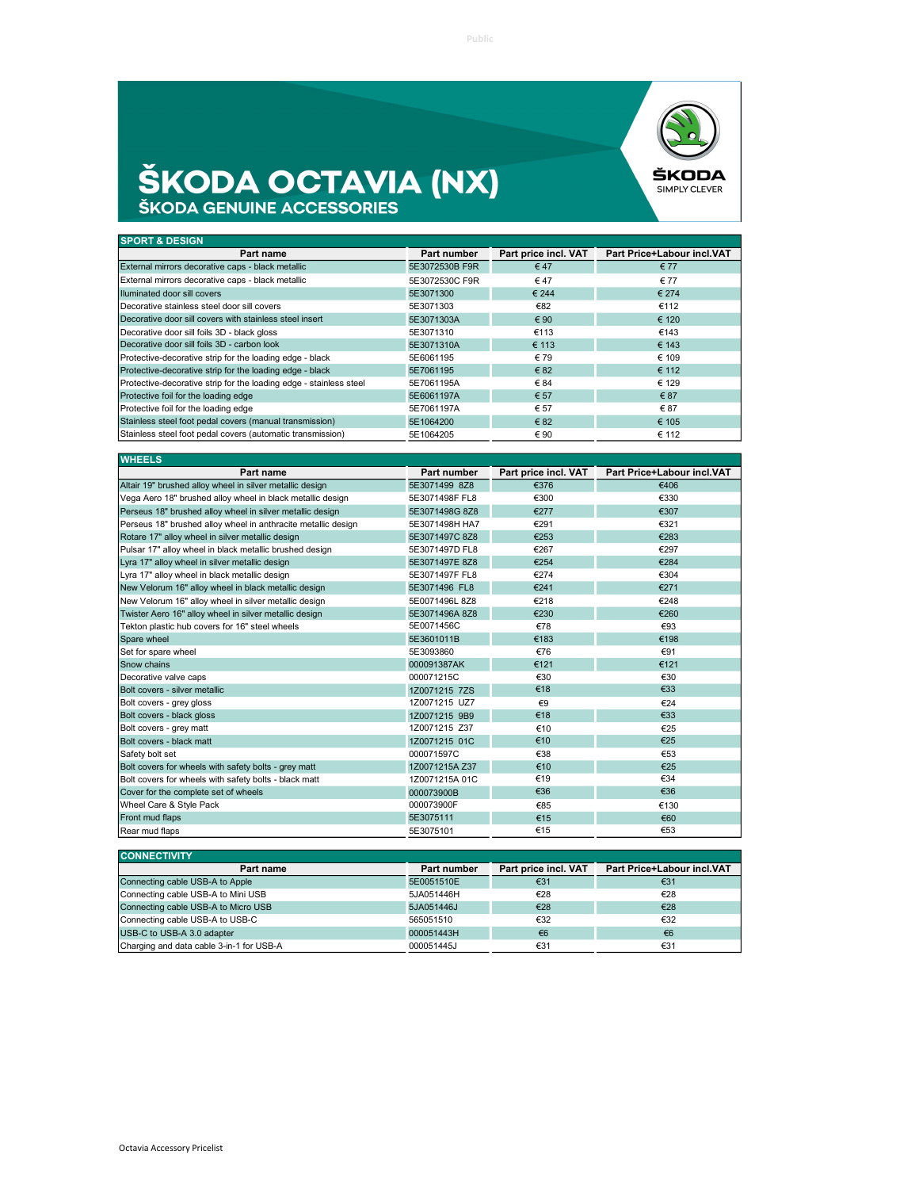

## **ŠKODA OCTAVIA (NX)**

| <b>SPORT &amp; DESIGN</b>                                          |                |                      |                            |
|--------------------------------------------------------------------|----------------|----------------------|----------------------------|
| Part name                                                          | Part number    | Part price incl. VAT | Part Price+Labour incl.VAT |
| External mirrors decorative caps - black metallic                  | 5E3072530B F9R | $\epsilon$ 47        | € 77                       |
| External mirrors decorative caps - black metallic                  | 5E3072530C F9R | €47                  | € 77                       |
| Illuminated door sill covers                                       | 5E3071300      | € 244                | € 274                      |
| Decorative stainless steel door sill covers                        | 5E3071303      | €82                  | €112                       |
| Decorative door sill covers with stainless steel insert            | 5E3071303A     | € 90                 | € 120                      |
| Decorative door sill foils 3D - black gloss                        | 5E3071310      | €113                 | €143                       |
| Decorative door sill foils 3D - carbon look                        | 5E3071310A     | € 113                | € 143                      |
| Protective-decorative strip for the loading edge - black           | 5E6061195      | € 79                 | € 109                      |
| Protective-decorative strip for the loading edge - black           | 5E7061195      | € 82                 | € 112                      |
| Protective-decorative strip for the loading edge - stainless steel | 5E7061195A     | € 84                 | € 129                      |
| Protective foil for the loading edge                               | 5E6061197A     | € 57                 | € 87                       |
| Protective foil for the loading edge                               | 5E7061197A     | € 57                 | €87                        |
| Stainless steel foot pedal covers (manual transmission)            | 5E1064200      | € 82                 | € 105                      |
| Stainless steel foot pedal covers (automatic transmission)         | 5E1064205      | € 90                 | € 112                      |

| <b>WHEELS</b>                                                 |                |                      |                            |
|---------------------------------------------------------------|----------------|----------------------|----------------------------|
| Part name                                                     | Part number    | Part price incl. VAT | Part Price+Labour incl.VAT |
| Altair 19" brushed alloy wheel in silver metallic design      | 5E3071499 8Z8  | €376                 | €406                       |
| Vega Aero 18" brushed alloy wheel in black metallic design    | 5E3071498F FL8 | €300                 | €330                       |
| Perseus 18" brushed alloy wheel in silver metallic design     | 5E3071498G 8Z8 | €277                 | €307                       |
| Perseus 18" brushed alloy wheel in anthracite metallic design | 5E3071498H HA7 | €291                 | €321                       |
| Rotare 17" alloy wheel in silver metallic design              | 5E3071497C 8Z8 | €253                 | €283                       |
| Pulsar 17" alloy wheel in black metallic brushed design       | 5E3071497D FL8 | €267                 | €297                       |
| Lyra 17" alloy wheel in silver metallic design                | 5E3071497E 8Z8 | €254                 | €284                       |
| Lyra 17" alloy wheel in black metallic design                 | 5E3071497F FL8 | €274                 | €304                       |
| New Velorum 16" alloy wheel in black metallic design          | 5E3071496 FL8  | €241                 | €271                       |
| New Velorum 16" alloy wheel in silver metallic design         | 5E0071496L 8Z8 | €218                 | €248                       |
| Twister Aero 16" alloy wheel in silver metallic design        | 5E3071496A 8Z8 | €230                 | €260                       |
| Tekton plastic hub covers for 16" steel wheels                | 5E0071456C     | €78                  | €93                        |
| Spare wheel                                                   | 5E3601011B     | €183                 | €198                       |
| Set for spare wheel                                           | 5E3093860      | €76                  | €91                        |
| Snow chains                                                   | 000091387AK    | €121                 | €121                       |
| Decorative valve caps                                         | 000071215C     | €30                  | €30                        |
| Bolt covers - silver metallic                                 | 1Z0071215 7ZS  | €18                  | €33                        |
| Bolt covers - grey gloss                                      | 1Z0071215 UZ7  | $\epsilon$ 9         | €24                        |
| Bolt covers - black gloss                                     | 1Z0071215 9B9  | €18                  | €33                        |
| Bolt covers - grey matt                                       | 1Z0071215 Z37  | €10                  | €25                        |
| Bolt covers - black matt                                      | 1Z0071215 01C  | €10                  | €25                        |
| Safety bolt set                                               | 000071597C     | €38                  | €53                        |
| Bolt covers for wheels with safety bolts - grey matt          | 1Z0071215A Z37 | €10                  | €25                        |
| Bolt covers for wheels with safety bolts - black matt         | 1Z0071215A 01C | €19                  | €34                        |
| Cover for the complete set of wheels                          | 000073900B     | €36                  | €36                        |
| Wheel Care & Style Pack                                       | 000073900F     | €85                  | €130                       |
| Front mud flaps                                               | 5E3075111      | €15                  | €60                        |
| Rear mud flaps                                                | 5E3075101      | €15                  | €53                        |

| <b>CONNECTIVITY</b>                      |             |                      |                            |
|------------------------------------------|-------------|----------------------|----------------------------|
| Part name                                | Part number | Part price incl. VAT | Part Price+Labour incl.VAT |
| Connecting cable USB-A to Apple          | 5E0051510E  | €31                  | €31                        |
| Connecting cable USB-A to Mini USB       | 5JA051446H  | €28                  | €28                        |
| Connecting cable USB-A to Micro USB      | 5JA051446J  | €28                  | €28                        |
| Connecting cable USB-A to USB-C          | 565051510   | €32                  | €32                        |
| USB-C to USB-A 3.0 adapter               | 000051443H  | €6                   | €6                         |
| Charging and data cable 3-in-1 for USB-A | 000051445J  | €31                  | €31                        |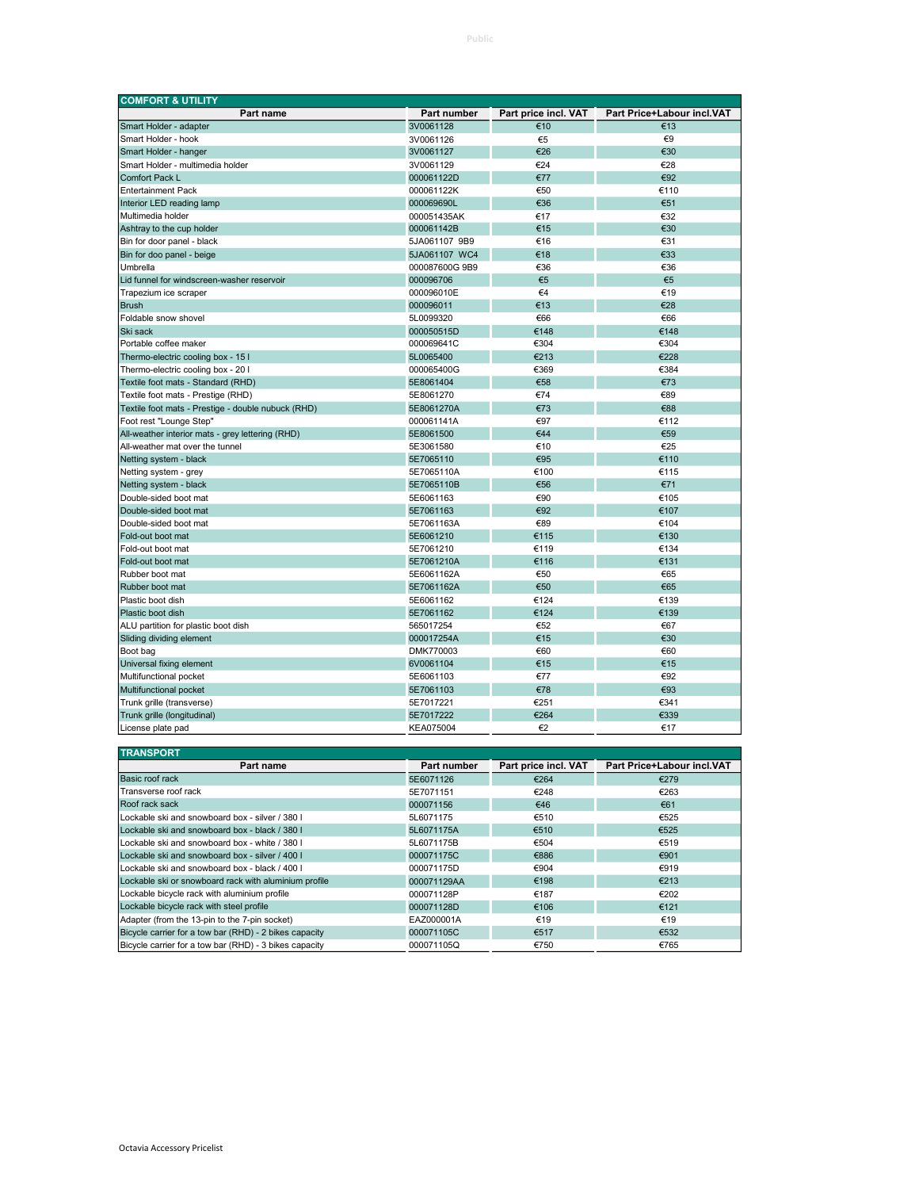| <b>COMFORT &amp; UTILITY</b>                       |                |                      |                            |
|----------------------------------------------------|----------------|----------------------|----------------------------|
| Part name                                          | Part number    | Part price incl. VAT | Part Price+Labour incl.VAT |
| Smart Holder - adapter                             | 3V0061128      | €10                  | €13                        |
| Smart Holder - hook                                | 3V0061126      | €5                   | €9                         |
| Smart Holder - hanger                              | 3V0061127      | €26                  | €30                        |
| Smart Holder - multimedia holder                   | 3V0061129      | €24                  | €28                        |
| Comfort Pack L                                     | 000061122D     | €77                  | €92                        |
| <b>Entertainment Pack</b>                          | 000061122K     | €50                  | €110                       |
| Interior LED reading lamp                          | 000069690L     | €36                  | €51                        |
| Multimedia holder                                  | 000051435AK    | €17                  | €32                        |
| Ashtray to the cup holder                          | 000061142B     | €15                  | €30                        |
| Bin for door panel - black                         | 5JA061107 9B9  | €16                  | €31                        |
| Bin for doo panel - beige                          | 5JA061107 WC4  | €18                  | €33                        |
| Umbrella                                           | 000087600G 9B9 | €36                  | €36                        |
| Lid funnel for windscreen-washer reservoir         | 000096706      | €5                   | €5                         |
| Trapezium ice scraper                              | 000096010E     | €4                   | €19                        |
| <b>Brush</b>                                       | 000096011      | €13                  | €28                        |
| Foldable snow shovel                               | 5L0099320      | €66                  | €66                        |
| Ski sack                                           | 000050515D     | €148                 | €148                       |
| Portable coffee maker                              | 000069641C     | €304                 | €304                       |
| Thermo-electric cooling box - 15 I                 | 5L0065400      | €213                 | €228                       |
| Thermo-electric cooling box - 20 I                 | 000065400G     | €369                 | €384                       |
| Textile foot mats - Standard (RHD)                 | 5E8061404      | €58                  | €73                        |
| Textile foot mats - Prestige (RHD)                 | 5E8061270      | €74                  | €89                        |
| Textile foot mats - Prestige - double nubuck (RHD) | 5E8061270A     | €73                  | €88                        |
| Foot rest "Lounge Step"                            | 000061141A     | €97                  | €112                       |
| All-weather interior mats - grey lettering (RHD)   | 5E8061500      | €44                  | €59                        |
| All-weather mat over the tunnel                    | 5E3061580      | €10                  | €25                        |
| Netting system - black                             | 5E7065110      | €95                  | €110                       |
| Netting system - grey                              | 5E7065110A     | €100                 | €115                       |
| Netting system - black                             | 5E7065110B     | €56                  | €71                        |
| Double-sided boot mat                              | 5E6061163      | €90                  | €105                       |
| Double-sided boot mat                              | 5E7061163      | €92                  | €107                       |
| Double-sided boot mat                              | 5E7061163A     | €89                  | €104                       |
| Fold-out boot mat                                  | 5E6061210      | €115                 | €130                       |
| Fold-out boot mat                                  | 5E7061210      | €119                 | €134                       |
| Fold-out boot mat                                  | 5E7061210A     | €116                 | €131                       |
| Rubber boot mat                                    | 5E6061162A     | €50                  | €65                        |
| Rubber boot mat                                    | 5E7061162A     | €50                  | €65                        |
| Plastic boot dish                                  | 5E6061162      | €124                 | €139                       |
| Plastic boot dish                                  | 5E7061162      | €124                 | €139                       |
| ALU partition for plastic boot dish                | 565017254      | €52                  | €67                        |
| Sliding dividing element                           | 000017254A     | €15                  | €30                        |
| Boot bag                                           | DMK770003      | €60                  | €60                        |
| Universal fixing element                           | 6V0061104      | €15                  | €15                        |
| Multifunctional pocket                             | 5E6061103      | €77                  | €92                        |
| Multifunctional pocket                             | 5E7061103      | €78                  | €93                        |
| Trunk grille (transverse)                          | 5E7017221      | €251                 | €341                       |
| Trunk grille (longitudinal)                        | 5E7017222      | €264                 | €339                       |
| License plate pad                                  | KEA075004      | €2                   | €17                        |
|                                                    |                |                      |                            |

| <b>TRANSPORT</b>                                       |             |                      |                            |
|--------------------------------------------------------|-------------|----------------------|----------------------------|
| Part name                                              | Part number | Part price incl. VAT | Part Price+Labour incl.VAT |
| Basic roof rack                                        | 5E6071126   | €264                 | €279                       |
| <b>Transverse roof rack</b>                            | 5E7071151   | €248                 | €263                       |
| Roof rack sack                                         | 000071156   | €46                  | €61                        |
| Lockable ski and snowboard box - silver / 380 l        | 5L6071175   | €510                 | €525                       |
| Lockable ski and snowboard box - black / 380 l         | 5L6071175A  | €510                 | €525                       |
| Lockable ski and snowboard box - white / 380 L         | 5L6071175B  | €504                 | €519                       |
| Lockable ski and snowboard box - silver / 400 l        | 000071175C  | €886                 | €901                       |
| Lockable ski and snowboard box - black / 400 l         | 000071175D  | €904                 | €919                       |
| Lockable ski or snowboard rack with aluminium profile  | 000071129AA | €198                 | €213                       |
| Lockable bicycle rack with aluminium profile           | 000071128P  | €187                 | €202                       |
| Lockable bicycle rack with steel profile               | 000071128D  | €106                 | €121                       |
| Adapter (from the 13-pin to the 7-pin socket)          | EAZ000001A  | €19                  | €19                        |
| Bicycle carrier for a tow bar (RHD) - 2 bikes capacity | 000071105C  | €517                 | €532                       |
| Bicycle carrier for a tow bar (RHD) - 3 bikes capacity | 000071105Q  | €750                 | €765                       |